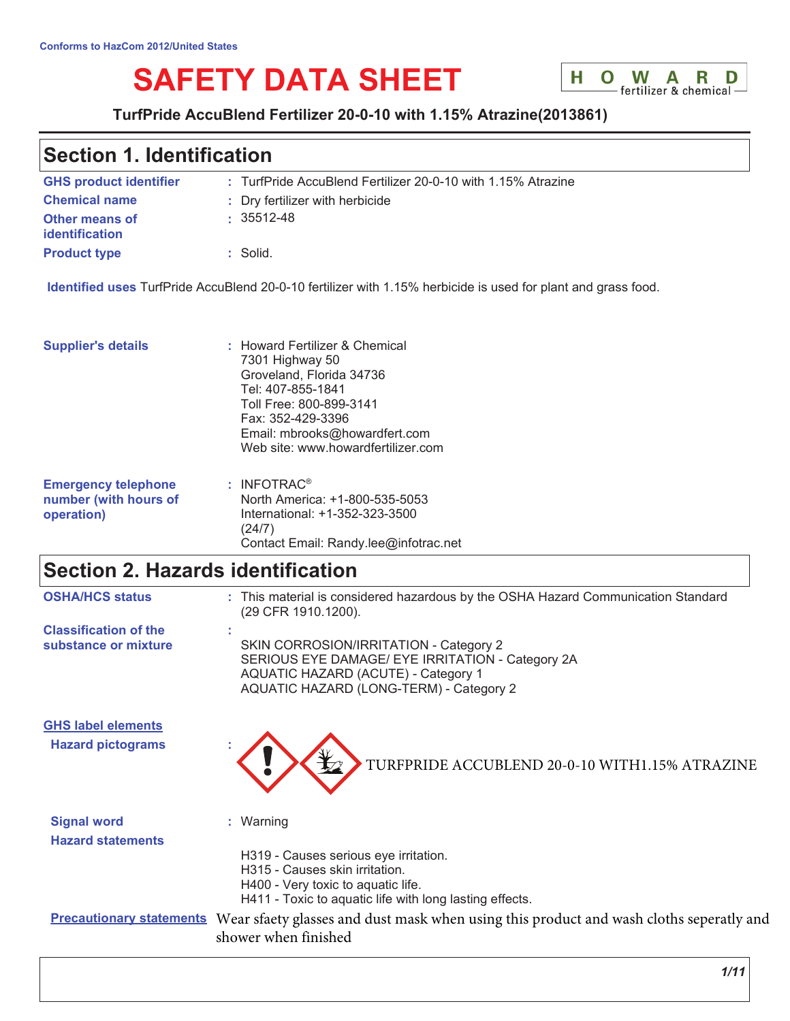# **SAFETY DATA SHEET**



## TurfPride AccuBlend Fertilizer 20-0-10 with 1.15% Atrazine(2013861)

# **Section 1. Identification**

| <b>GHS product identifier</b>                  | : TurfPride AccuBlend Fertilizer 20-0-10 with 1.15% Atrazine |
|------------------------------------------------|--------------------------------------------------------------|
| <b>Chemical name</b>                           | : Dry fertilizer with herbicide                              |
| <b>Other means of</b><br><b>identification</b> | $\cdot$ 35512-48                                             |
| <b>Product type</b>                            | $:$ Solid.                                                   |

Identified uses TurfPride AccuBlend 20-0-10 fertilizer with 1.15% herbicide is used for plant and grass food.

Contact Email: Randy.lee@infotrac.net

| <b>Supplier's details</b>  | : Howard Fertilizer & Chemical<br>7301 Highway 50<br>Groveland, Florida 34736<br>Tel: 407-855-1841<br>Toll Free: 800-899-3141<br>Fax: 352-429-3396<br>Email: mbrooks@howardfert.com<br>Web site: www.howardfertilizer.com |
|----------------------------|---------------------------------------------------------------------------------------------------------------------------------------------------------------------------------------------------------------------------|
| <b>Emergency telephone</b> | $:$ INFOTRAC <sup>®</sup>                                                                                                                                                                                                 |
| number (with hours of      | North America: +1-800-535-5053                                                                                                                                                                                            |
| operation)                 | International: +1-352-323-3500                                                                                                                                                                                            |

 $(24/7)$ 

# Section 2. Hazards identification

| <b>OSHA/HCS status</b>                                | This material is considered hazardous by the OSHA Hazard Communication Standard<br>(29 CFR 1910.1200).                                                                                |
|-------------------------------------------------------|---------------------------------------------------------------------------------------------------------------------------------------------------------------------------------------|
| <b>Classification of the</b><br>substance or mixture  | SKIN CORROSION/IRRITATION - Category 2<br>SERIOUS EYE DAMAGE/ EYE IRRITATION - Category 2A<br><b>AQUATIC HAZARD (ACUTE) - Category 1</b><br>AQUATIC HAZARD (LONG-TERM) - Category 2   |
| <b>GHS label elements</b><br><b>Hazard pictograms</b> | TURFPRIDE ACCUBLEND 20-0-10 WITH1.15% ATRAZINE                                                                                                                                        |
| <b>Signal word</b><br><b>Hazard statements</b>        | : Warning<br>H319 - Causes serious eye irritation.<br>H315 - Causes skin irritation.<br>H400 - Very toxic to aquatic life.<br>H411 - Toxic to aquatic life with long lasting effects. |
| <b>Precautionary statements</b>                       | Wear sfaety glasses and dust mask when using this product and wash cloths seperatly and<br>shower when finished                                                                       |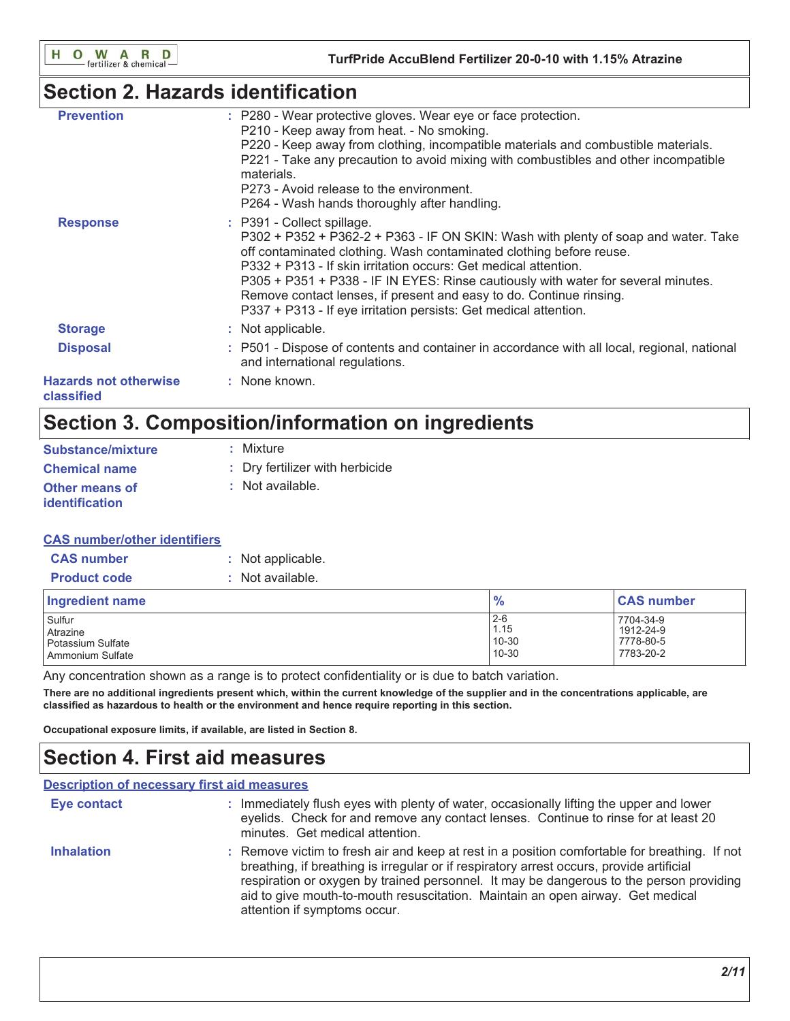# **Section 2. Hazards identification**

| <b>Prevention</b>                          | : P280 - Wear protective gloves. Wear eye or face protection.<br>P210 - Keep away from heat. - No smoking.<br>P220 - Keep away from clothing, incompatible materials and combustible materials.<br>P221 - Take any precaution to avoid mixing with combustibles and other incompatible<br>materials.<br>P273 - Avoid release to the environment.<br>P264 - Wash hands thoroughly after handling.                                                                                           |
|--------------------------------------------|--------------------------------------------------------------------------------------------------------------------------------------------------------------------------------------------------------------------------------------------------------------------------------------------------------------------------------------------------------------------------------------------------------------------------------------------------------------------------------------------|
| <b>Response</b>                            | : P391 - Collect spillage.<br>P302 + P352 + P362-2 + P363 - IF ON SKIN: Wash with plenty of soap and water. Take<br>off contaminated clothing. Wash contaminated clothing before reuse.<br>P332 + P313 - If skin irritation occurs: Get medical attention.<br>P305 + P351 + P338 - IF IN EYES: Rinse cautiously with water for several minutes.<br>Remove contact lenses, if present and easy to do. Continue rinsing.<br>P337 + P313 - If eye irritation persists: Get medical attention. |
| <b>Storage</b>                             | : Not applicable.                                                                                                                                                                                                                                                                                                                                                                                                                                                                          |
| <b>Disposal</b>                            | : P501 - Dispose of contents and container in accordance with all local, regional, national<br>and international regulations.                                                                                                                                                                                                                                                                                                                                                              |
| <b>Hazards not otherwise</b><br>classified | : None known.                                                                                                                                                                                                                                                                                                                                                                                                                                                                              |

# Section 3. Composition/information on ingredients

| <b>Substance/mixture</b>                       | : Mixture                       |
|------------------------------------------------|---------------------------------|
| <b>Chemical name</b>                           | : Dry fertilizer with herbicide |
| <b>Other means of</b><br><i>identification</i> | : Not available.                |

## **CAS number/other identifiers**

| <b>CAS number</b>   | : Not applicable. |
|---------------------|-------------------|
| <b>Product code</b> | : Not available.  |

| Ingredient name   | $\frac{9}{6}$ | <b>CAS number</b> |
|-------------------|---------------|-------------------|
| Sulfur            | $2 - 6$       | 7704-34-9         |
| Atrazine          | 1.15          | 1912-24-9         |
| Potassium Sulfate | 10-30         | 7778-80-5         |
| Ammonium Sulfate  | 10-30         | 7783-20-2         |

Any concentration shown as a range is to protect confidentiality or is due to batch variation.

There are no additional ingredients present which, within the current knowledge of the supplier and in the concentrations applicable, are classified as hazardous to health or the environment and hence require reporting in this section.

Occupational exposure limits, if available, are listed in Section 8.

# **Section 4. First aid measures**

| <b>Description of necessary first aid measures</b> |                                                                                                                                                                                                                                                                                                                                                                                                        |
|----------------------------------------------------|--------------------------------------------------------------------------------------------------------------------------------------------------------------------------------------------------------------------------------------------------------------------------------------------------------------------------------------------------------------------------------------------------------|
| Eye contact                                        | : Immediately flush eyes with plenty of water, occasionally lifting the upper and lower<br>eyelids. Check for and remove any contact lenses. Continue to rinse for at least 20<br>minutes. Get medical attention.                                                                                                                                                                                      |
| <b>Inhalation</b>                                  | : Remove victim to fresh air and keep at rest in a position comfortable for breathing. If not<br>breathing, if breathing is irregular or if respiratory arrest occurs, provide artificial<br>respiration or oxygen by trained personnel. It may be dangerous to the person providing<br>aid to give mouth-to-mouth resuscitation. Maintain an open airway. Get medical<br>attention if symptoms occur. |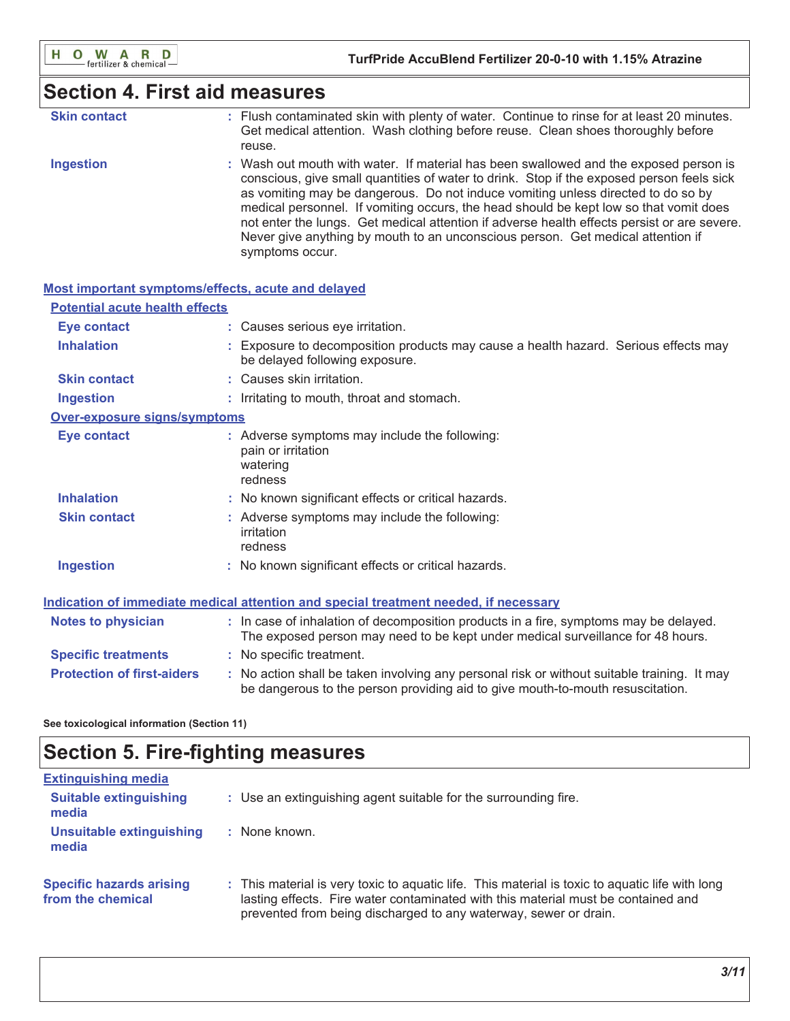## **Section 4. First aid measures**

| <b>Skin contact</b> | : Flush contaminated skin with plenty of water. Continue to rinse for at least 20 minutes. |
|---------------------|--------------------------------------------------------------------------------------------|
|                     | Get medical attention. Wash clothing before reuse. Clean shoes thoroughly before           |
|                     | reuse.                                                                                     |

**Ingestion** : Wash out mouth with water. If material has been swallowed and the exposed person is conscious, give small quantities of water to drink. Stop if the exposed person feels sick as vomiting may be dangerous. Do not induce vomiting unless directed to do so by medical personnel. If vomiting occurs, the head should be kept low so that vomit does not enter the lungs. Get medical attention if adverse health effects persist or are severe. Never give anything by mouth to an unconscious person. Get medical attention if symptoms occur.

| <b>Most important symptoms/effects, acute and delayed</b> |                                                                                                                                                                               |  |
|-----------------------------------------------------------|-------------------------------------------------------------------------------------------------------------------------------------------------------------------------------|--|
| <b>Potential acute health effects</b>                     |                                                                                                                                                                               |  |
| <b>Eye contact</b>                                        | : Causes serious eye irritation.                                                                                                                                              |  |
| <b>Inhalation</b>                                         | : Exposure to decomposition products may cause a health hazard. Serious effects may<br>be delayed following exposure.                                                         |  |
| <b>Skin contact</b>                                       | : Causes skin irritation.                                                                                                                                                     |  |
| <b>Ingestion</b>                                          | : Irritating to mouth, throat and stomach.                                                                                                                                    |  |
| Over-exposure signs/symptoms                              |                                                                                                                                                                               |  |
| Eye contact                                               | : Adverse symptoms may include the following:<br>pain or irritation<br>watering<br>redness                                                                                    |  |
| <b>Inhalation</b>                                         | : No known significant effects or critical hazards.                                                                                                                           |  |
| <b>Skin contact</b>                                       | : Adverse symptoms may include the following:<br>irritation<br>redness                                                                                                        |  |
| <b>Ingestion</b>                                          | : No known significant effects or critical hazards.                                                                                                                           |  |
|                                                           | Indication of immediate medical attention and special treatment needed, if necessary                                                                                          |  |
| <b>Notes to physician</b>                                 | : In case of inhalation of decomposition products in a fire, symptoms may be delayed.<br>The exposed person may need to be kept under medical surveillance for 48 hours.      |  |
| <b>Specific treatments</b>                                | : No specific treatment.                                                                                                                                                      |  |
| <b>Protection of first-aiders</b>                         | : No action shall be taken involving any personal risk or without suitable training. It may<br>be dangerous to the person providing aid to give mouth-to-mouth resuscitation. |  |

See toxicological information (Section 11)

# **Section 5. Fire-fighting measures**

| <b>Extinguishing media</b>                           |                                                                                                                                                                                                                                                          |
|------------------------------------------------------|----------------------------------------------------------------------------------------------------------------------------------------------------------------------------------------------------------------------------------------------------------|
| <b>Suitable extinguishing</b><br>media               | : Use an extinguishing agent suitable for the surrounding fire.                                                                                                                                                                                          |
| Unsuitable extinguishing<br>media                    | None known.                                                                                                                                                                                                                                              |
| <b>Specific hazards arising</b><br>from the chemical | : This material is very toxic to aguatic life. This material is toxic to aguatic life with long<br>lasting effects. Fire water contaminated with this material must be contained and<br>prevented from being discharged to any waterway, sewer or drain. |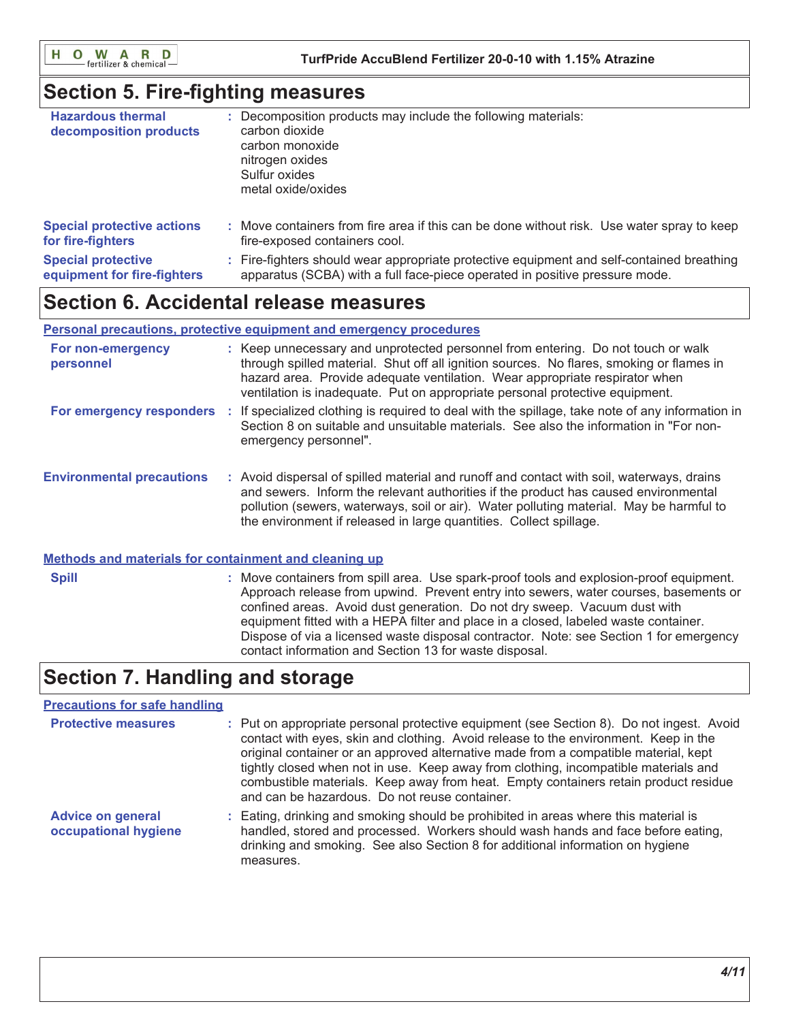O W A R D H.

## **Section 5. Fire-fighting measures**

| <b>Hazardous thermal</b><br>decomposition products | Decomposition products may include the following materials:<br>carbon dioxide<br>carbon monoxide<br>nitrogen oxides<br>Sulfur oxides<br>metal oxide/oxides |
|----------------------------------------------------|------------------------------------------------------------------------------------------------------------------------------------------------------------|
| <b>Special protective actions</b>                  | : Move containers from fire area if this can be done without risk. Use water spray to keep                                                                 |
| for fire-fighters                                  | fire-exposed containers cool.                                                                                                                              |
| <b>Special protective</b>                          | : Fire-fighters should wear appropriate protective equipment and self-contained breathing                                                                  |
| equipment for fire-fighters                        | apparatus (SCBA) with a full face-piece operated in positive pressure mode.                                                                                |

## **Section 6. Accidental release measures**

## Personal precautions, protective equipment and emergency procedures

| For non-emergency<br>personnel   | : Keep unnecessary and unprotected personnel from entering. Do not touch or walk<br>through spilled material. Shut off all ignition sources. No flares, smoking or flames in<br>hazard area. Provide adequate ventilation. Wear appropriate respirator when<br>ventilation is inadequate. Put on appropriate personal protective equipment.       |
|----------------------------------|---------------------------------------------------------------------------------------------------------------------------------------------------------------------------------------------------------------------------------------------------------------------------------------------------------------------------------------------------|
| For emergency responders :       | If specialized clothing is required to deal with the spillage, take note of any information in<br>Section 8 on suitable and unsuitable materials. See also the information in "For non-<br>emergency personnel".                                                                                                                                  |
| <b>Environmental precautions</b> | : Avoid dispersal of spilled material and runoff and contact with soil, waterways, drains<br>and sewers. Inform the relevant authorities if the product has caused environmental<br>pollution (sewers, waterways, soil or air). Water polluting material. May be harmful to<br>the environment if released in large quantities. Collect spillage. |

#### Methods and materials for containment and cleaning up

: Move containers from spill area. Use spark-proof tools and explosion-proof equipment. **Spill** Approach release from upwind. Prevent entry into sewers, water courses, basements or confined areas. Avoid dust generation. Do not dry sweep. Vacuum dust with equipment fitted with a HEPA filter and place in a closed, labeled waste container. Dispose of via a licensed waste disposal contractor. Note: see Section 1 for emergency contact information and Section 13 for waste disposal.

# **Section 7. Handling and storage**

## **Precautions for safe handling**

| <b>Protective measures</b>                       | : Put on appropriate personal protective equipment (see Section 8). Do not ingest. Avoid<br>contact with eyes, skin and clothing. Avoid release to the environment. Keep in the<br>original container or an approved alternative made from a compatible material, kept<br>tightly closed when not in use. Keep away from clothing, incompatible materials and<br>combustible materials. Keep away from heat. Empty containers retain product residue<br>and can be hazardous. Do not reuse container. |
|--------------------------------------------------|-------------------------------------------------------------------------------------------------------------------------------------------------------------------------------------------------------------------------------------------------------------------------------------------------------------------------------------------------------------------------------------------------------------------------------------------------------------------------------------------------------|
| <b>Advice on general</b><br>occupational hygiene | : Eating, drinking and smoking should be prohibited in areas where this material is<br>handled, stored and processed. Workers should wash hands and face before eating,<br>drinking and smoking. See also Section 8 for additional information on hygiene<br>measures.                                                                                                                                                                                                                                |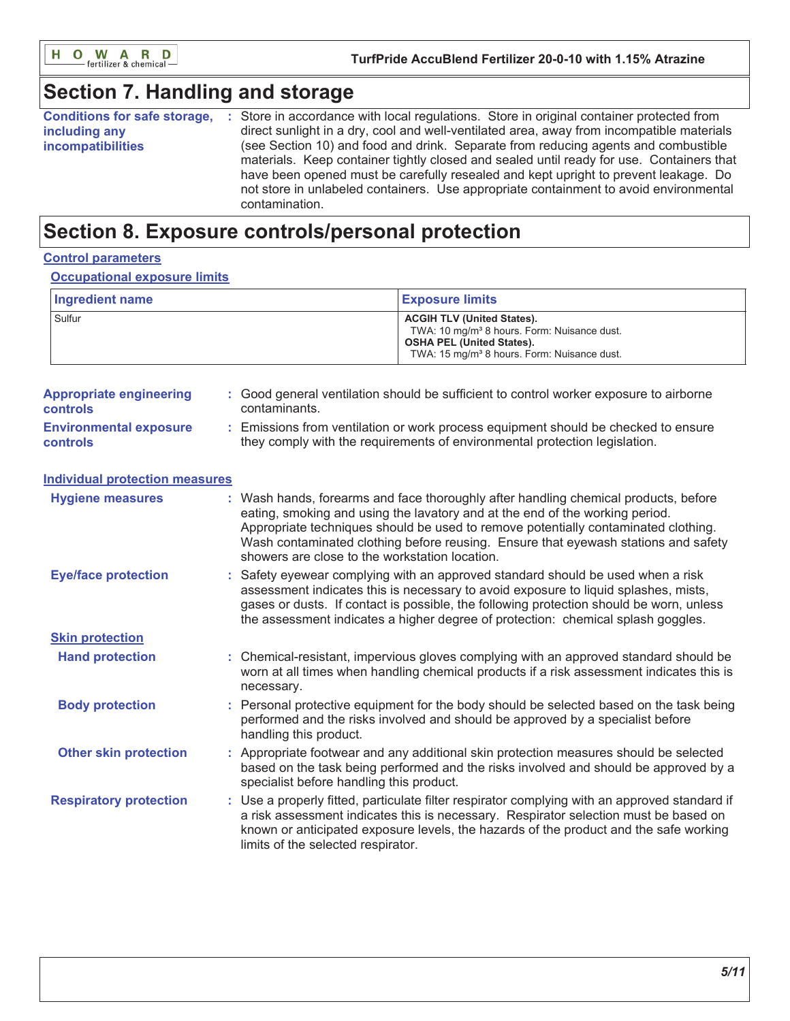

# Section 7. Handling and storage

| <b>Conditions for safe storage,</b> | Store in accordance with local regulations. Store in original container protected from    |
|-------------------------------------|-------------------------------------------------------------------------------------------|
| including any                       | direct sunlight in a dry, cool and well-ventilated area, away from incompatible materials |
| <b>incompatibilities</b>            | (see Section 10) and food and drink. Separate from reducing agents and combustible        |
|                                     | materials. Keep container tightly closed and sealed until ready for use. Containers that  |
|                                     | have been opened must be carefully resealed and kept upright to prevent leakage. Do       |
|                                     | not store in unlabeled containers. Use appropriate containment to avoid environmental     |
|                                     | contamination.                                                                            |

## Section 8. Exposure controls/personal protection

## **Control parameters**

#### **Occupational exposure limits**

| Ingredient name | <b>Exposure limits</b>                                                                                                                                                                      |
|-----------------|---------------------------------------------------------------------------------------------------------------------------------------------------------------------------------------------|
| Sulfur          | <b>ACGIH TLV (United States).</b><br>TWA: 10 mg/m <sup>3</sup> 8 hours. Form: Nuisance dust.<br><b>OSHA PEL (United States).</b><br>TWA: 15 mg/m <sup>3</sup> 8 hours. Form: Nuisance dust. |

| <b>Appropriate engineering</b><br><b>controls</b> | : Good general ventilation should be sufficient to control worker exposure to airborne<br>contaminants.                                                        |
|---------------------------------------------------|----------------------------------------------------------------------------------------------------------------------------------------------------------------|
| <b>Environmental exposure</b><br><b>controls</b>  | Emissions from ventilation or work process equipment should be checked to ensure<br>they comply with the requirements of environmental protection legislation. |

#### **Individual protection measures** : Wash hands, forearms and face thoroughly after handling chemical products, before **Hygiene measures** eating, smoking and using the lavatory and at the end of the working period. Appropriate techniques should be used to remove potentially contaminated clothing. Wash contaminated clothing before reusing. Ensure that eyewash stations and safety showers are close to the workstation location. : Safety eyewear complying with an approved standard should be used when a risk **Eye/face protection** assessment indicates this is necessary to avoid exposure to liquid splashes, mists, gases or dusts. If contact is possible, the following protection should be worn, unless the assessment indicates a higher degree of protection: chemical splash goggles. **Skin protection** : Chemical-resistant, impervious gloves complying with an approved standard should be **Hand protection** worn at all times when handling chemical products if a risk assessment indicates this is necessary. **Body protection** : Personal protective equipment for the body should be selected based on the task being performed and the risks involved and should be approved by a specialist before handling this product. **Other skin protection** : Appropriate footwear and any additional skin protection measures should be selected based on the task being performed and the risks involved and should be approved by a specialist before handling this product. : Use a properly fitted, particulate filter respirator complying with an approved standard if **Respiratory protection** a risk assessment indicates this is necessary. Respirator selection must be based on known or anticipated exposure levels, the hazards of the product and the safe working limits of the selected respirator.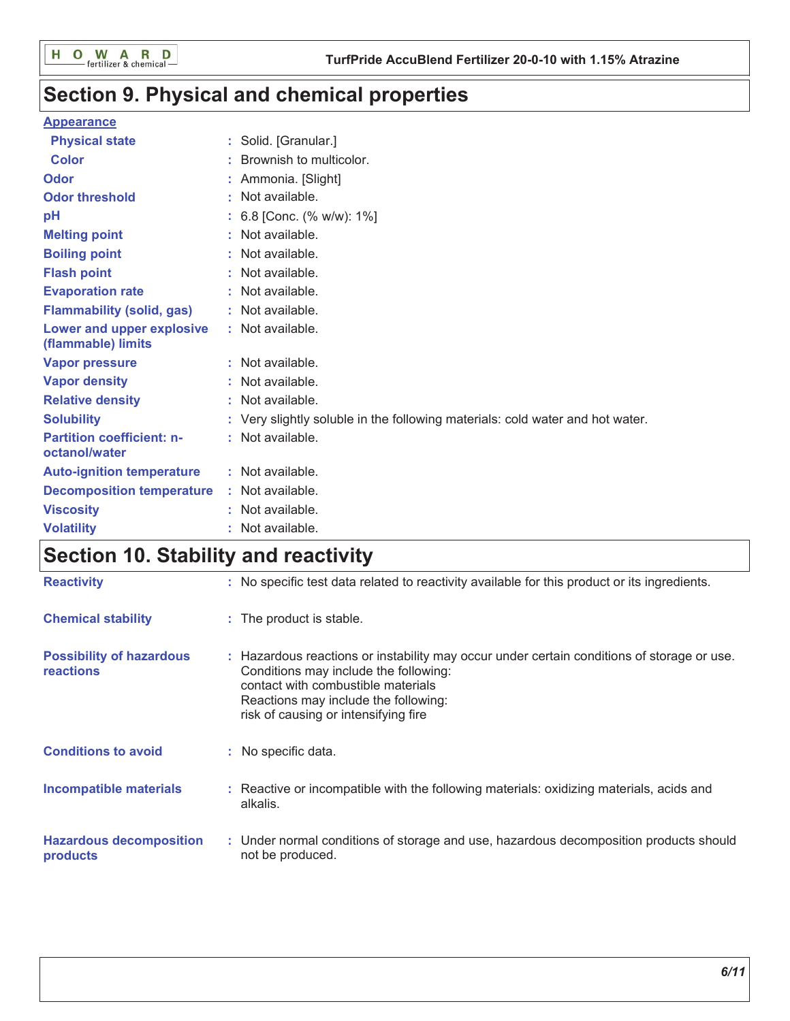# Section 9. Physical and chemical properties

## **Appearance**

| <b>Physical state</b>                             |   | Solid. [Granular.]                                                            |
|---------------------------------------------------|---|-------------------------------------------------------------------------------|
| <b>Color</b>                                      |   | Brownish to multicolor.                                                       |
| Odor                                              |   | Ammonia. [Slight]                                                             |
| <b>Odor threshold</b>                             | ٠ | Not available.                                                                |
| рH                                                |   | 6.8 [Conc. (% w/w): 1%]                                                       |
| <b>Melting point</b>                              |   | Not available.                                                                |
| <b>Boiling point</b>                              |   | : Not available.                                                              |
| <b>Flash point</b>                                |   | Not available.                                                                |
| <b>Evaporation rate</b>                           |   | : Not available.                                                              |
| <b>Flammability (solid, gas)</b>                  |   | : Not available.                                                              |
| Lower and upper explosive<br>(flammable) limits   |   | : Not available.                                                              |
| <b>Vapor pressure</b>                             |   | : Not available.                                                              |
| <b>Vapor density</b>                              |   | : Not available.                                                              |
| <b>Relative density</b>                           |   | Not available.                                                                |
| <b>Solubility</b>                                 |   | : Very slightly soluble in the following materials: cold water and hot water. |
| <b>Partition coefficient: n-</b><br>octanol/water |   | : Not available.                                                              |
| <b>Auto-ignition temperature</b>                  |   | : Not available.                                                              |
| <b>Decomposition temperature</b>                  |   | : Not available.                                                              |
| <b>Viscosity</b>                                  |   | Not available.                                                                |
| <b>Volatility</b>                                 |   | Not available.                                                                |

# Section 10. Stability and reactivity

| <b>Reactivity</b>                                   | : No specific test data related to reactivity available for this product or its ingredients.                                                                                                                                                              |
|-----------------------------------------------------|-----------------------------------------------------------------------------------------------------------------------------------------------------------------------------------------------------------------------------------------------------------|
| <b>Chemical stability</b>                           | : The product is stable.                                                                                                                                                                                                                                  |
| <b>Possibility of hazardous</b><br><b>reactions</b> | : Hazardous reactions or instability may occur under certain conditions of storage or use.<br>Conditions may include the following:<br>contact with combustible materials<br>Reactions may include the following:<br>risk of causing or intensifying fire |
| <b>Conditions to avoid</b>                          | : No specific data.                                                                                                                                                                                                                                       |
| <b>Incompatible materials</b>                       | : Reactive or incompatible with the following materials: oxidizing materials, acids and<br>alkalis.                                                                                                                                                       |
| <b>Hazardous decomposition</b><br>products          | : Under normal conditions of storage and use, hazardous decomposition products should<br>not be produced.                                                                                                                                                 |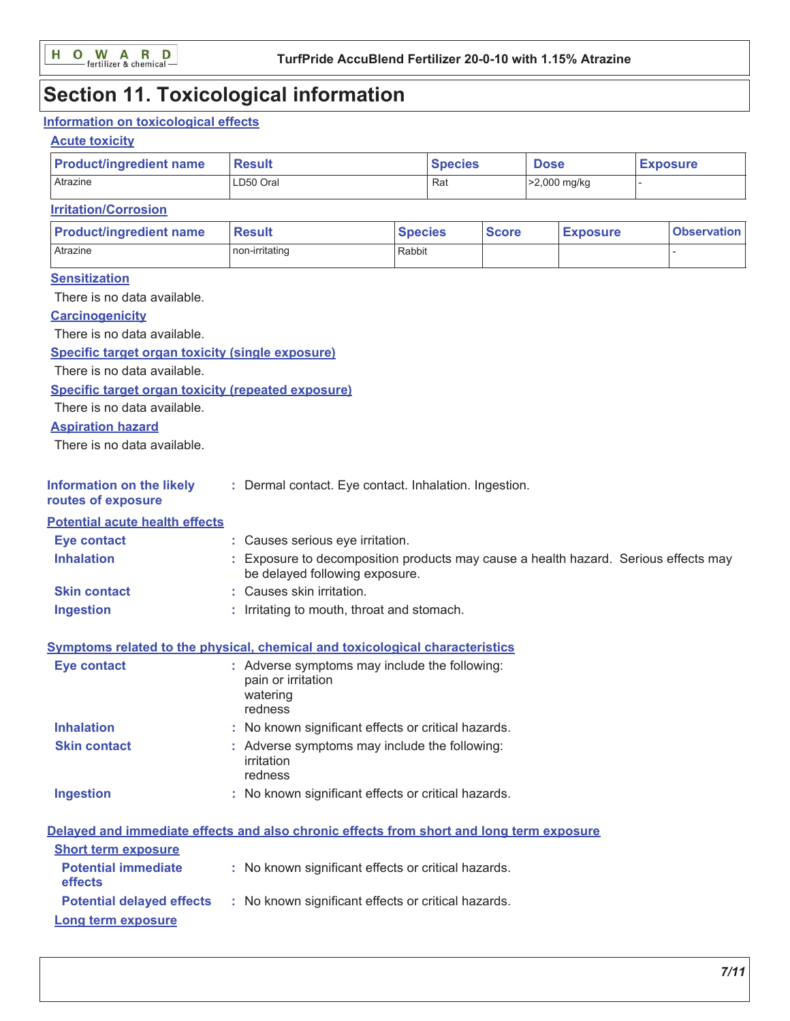# **Section 11. Toxicological information**

## Information on toxicological effects

## **Acute toxicity**

| <b>Product/ingredient name</b>                                                           | <b>Result</b>                                                                                                         |                                  | <b>Species</b> |              | <b>Dose</b> |                 | <b>Exposure</b> |                    |
|------------------------------------------------------------------------------------------|-----------------------------------------------------------------------------------------------------------------------|----------------------------------|----------------|--------------|-------------|-----------------|-----------------|--------------------|
| Atrazine                                                                                 | LD50 Oral<br>Rat                                                                                                      |                                  |                | >2,000 mg/kg |             |                 |                 |                    |
| <b>Irritation/Corrosion</b>                                                              |                                                                                                                       |                                  |                |              |             |                 |                 |                    |
| <b>Product/ingredient name</b>                                                           | <b>Result</b>                                                                                                         | <b>Species</b>                   |                | <b>Score</b> |             | <b>Exposure</b> |                 | <b>Observation</b> |
| Atrazine                                                                                 | non-irritating                                                                                                        | Rabbit                           |                |              |             |                 |                 |                    |
| <b>Sensitization</b>                                                                     |                                                                                                                       |                                  |                |              |             |                 |                 |                    |
| There is no data available.                                                              |                                                                                                                       |                                  |                |              |             |                 |                 |                    |
| <b>Carcinogenicity</b>                                                                   |                                                                                                                       |                                  |                |              |             |                 |                 |                    |
| There is no data available.                                                              |                                                                                                                       |                                  |                |              |             |                 |                 |                    |
| <b>Specific target organ toxicity (single exposure)</b>                                  |                                                                                                                       |                                  |                |              |             |                 |                 |                    |
| There is no data available.                                                              |                                                                                                                       |                                  |                |              |             |                 |                 |                    |
| <b>Specific target organ toxicity (repeated exposure)</b>                                |                                                                                                                       |                                  |                |              |             |                 |                 |                    |
| There is no data available.                                                              |                                                                                                                       |                                  |                |              |             |                 |                 |                    |
| <b>Aspiration hazard</b>                                                                 |                                                                                                                       |                                  |                |              |             |                 |                 |                    |
| There is no data available.                                                              |                                                                                                                       |                                  |                |              |             |                 |                 |                    |
| <b>Information on the likely</b><br>routes of exposure                                   | : Dermal contact. Eye contact. Inhalation. Ingestion.                                                                 |                                  |                |              |             |                 |                 |                    |
| <b>Potential acute health effects</b>                                                    |                                                                                                                       |                                  |                |              |             |                 |                 |                    |
| <b>Eye contact</b>                                                                       |                                                                                                                       | : Causes serious eye irritation. |                |              |             |                 |                 |                    |
| <b>Inhalation</b>                                                                        | : Exposure to decomposition products may cause a health hazard. Serious effects may<br>be delayed following exposure. |                                  |                |              |             |                 |                 |                    |
| <b>Skin contact</b>                                                                      | : Causes skin irritation.                                                                                             |                                  |                |              |             |                 |                 |                    |
| <b>Ingestion</b>                                                                         | : Irritating to mouth, throat and stomach.                                                                            |                                  |                |              |             |                 |                 |                    |
| <b>Symptoms related to the physical, chemical and toxicological characteristics</b>      |                                                                                                                       |                                  |                |              |             |                 |                 |                    |
| <b>Eye contact</b>                                                                       | : Adverse symptoms may include the following:<br>pain or irritation<br>watering<br>redness                            |                                  |                |              |             |                 |                 |                    |
| <b>Inhalation</b>                                                                        | No known significant effects or critical hazards.                                                                     |                                  |                |              |             |                 |                 |                    |
| <b>Skin contact</b>                                                                      | : Adverse symptoms may include the following:<br>irritation<br>redness                                                |                                  |                |              |             |                 |                 |                    |
| <b>Ingestion</b>                                                                         | : No known significant effects or critical hazards.                                                                   |                                  |                |              |             |                 |                 |                    |
| Delayed and immediate effects and also chronic effects from short and long term exposure |                                                                                                                       |                                  |                |              |             |                 |                 |                    |
| <b>Short term exposure</b>                                                               |                                                                                                                       |                                  |                |              |             |                 |                 |                    |
| <b>Potential immediate</b><br>effects                                                    | : No known significant effects or critical hazards.                                                                   |                                  |                |              |             |                 |                 |                    |
| <b>Potential delayed effects</b>                                                         | : No known significant effects or critical hazards.                                                                   |                                  |                |              |             |                 |                 |                    |
| Long term exposure                                                                       |                                                                                                                       |                                  |                |              |             |                 |                 |                    |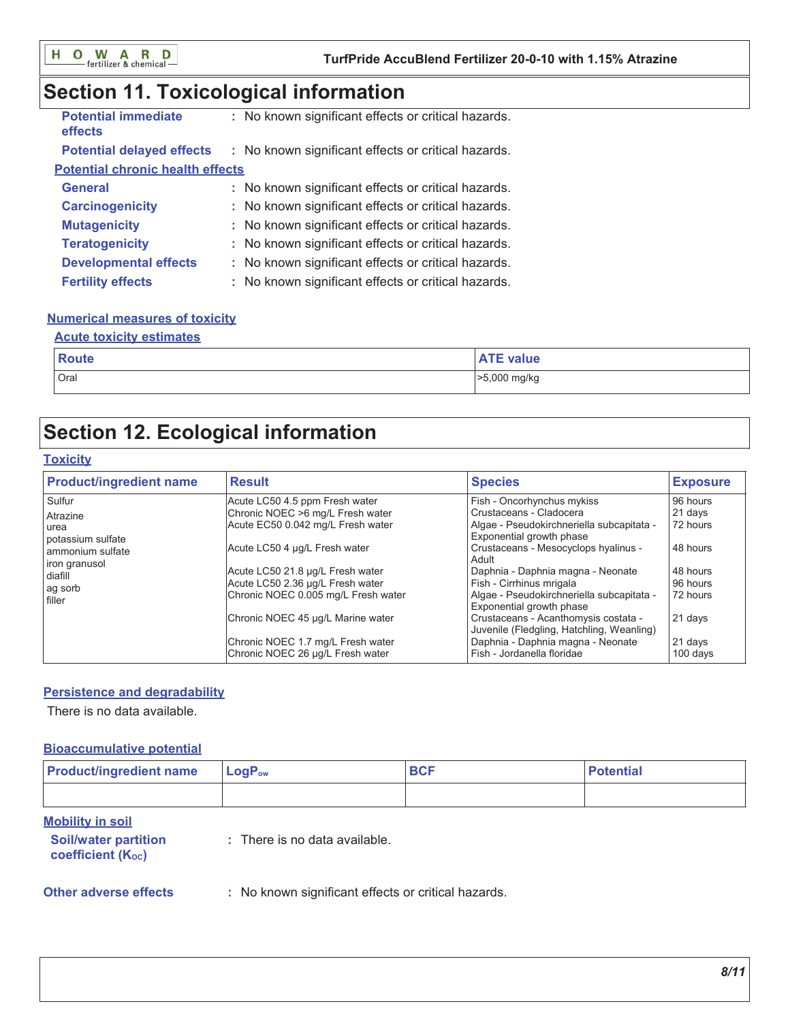# Section 11. Toxicological information

| <b>Potential immediate</b><br><b>effects</b> | : No known significant effects or critical hazards. |
|----------------------------------------------|-----------------------------------------------------|
| <b>Potential delayed effects</b>             | : No known significant effects or critical hazards. |
| <b>Potential chronic health effects</b>      |                                                     |
| <b>General</b>                               | : No known significant effects or critical hazards. |
| <b>Carcinogenicity</b>                       | : No known significant effects or critical hazards. |
| <b>Mutagenicity</b>                          | : No known significant effects or critical hazards. |
| <b>Teratogenicity</b>                        | : No known significant effects or critical hazards. |
| <b>Developmental effects</b>                 | : No known significant effects or critical hazards. |
| <b>Fertility effects</b>                     | : No known significant effects or critical hazards. |

## **Numerical measures of toxicity**

## **Acute toxicity estimates**

| Route | value        |
|-------|--------------|
| Oral  | >5,000 mg/kg |

# **Section 12. Ecological information**

## **Toxicity**

| <b>Product/ingredient name</b>                                 | <b>Result</b>                       | <b>Species</b>                                                                    | <b>Exposure</b> |
|----------------------------------------------------------------|-------------------------------------|-----------------------------------------------------------------------------------|-----------------|
| Sulfur                                                         | Acute LC50 4.5 ppm Fresh water      | Fish - Oncorhynchus mykiss                                                        | 96 hours        |
| Atrazine                                                       | Chronic NOEC >6 mg/L Fresh water    | Crustaceans - Cladocera                                                           | 21 days         |
| urea<br>potassium sulfate<br>ammonium sulfate<br>iron granusol | Acute EC50 0.042 mg/L Fresh water   | Algae - Pseudokirchneriella subcapitata -<br>Exponential growth phase             | 72 hours        |
|                                                                | Acute LC50 4 µg/L Fresh water       | Crustaceans - Mesocyclops hyalinus -<br>Adult                                     | 48 hours        |
| diafill                                                        | Acute LC50 21.8 µg/L Fresh water    | Daphnia - Daphnia magna - Neonate                                                 | 48 hours        |
| ag sorb                                                        | Acute LC50 2.36 µg/L Fresh water    | Fish - Cirrhinus mrigala                                                          | 96 hours        |
| filler                                                         | Chronic NOEC 0.005 mg/L Fresh water | Algae - Pseudokirchneriella subcapitata -<br>Exponential growth phase             | 72 hours        |
|                                                                | Chronic NOEC 45 µg/L Marine water   | Crustaceans - Acanthomysis costata -<br>Juvenile (Fledgling, Hatchling, Weanling) | 21 days         |
|                                                                | Chronic NOEC 1.7 mg/L Fresh water   | Daphnia - Daphnia magna - Neonate                                                 | 21 days         |
|                                                                | Chronic NOEC 26 µg/L Fresh water    | Fish - Jordanella floridae                                                        | 100 days        |

## **Persistence and degradability**

There is no data available.

## **Bioaccumulative potential**

| <b>Product/ingredient name</b>                                              | LogP <sub>ow</sub>                                  | <b>BCF</b> | <b>Potential</b> |  |  |  |
|-----------------------------------------------------------------------------|-----------------------------------------------------|------------|------------------|--|--|--|
|                                                                             |                                                     |            |                  |  |  |  |
| <b>Mobility in soil</b><br><b>Soil/water partition</b><br>coefficient (Koc) | $\therefore$ There is no data available.            |            |                  |  |  |  |
| <b>Other adverse effects</b>                                                | : No known significant effects or critical hazards. |            |                  |  |  |  |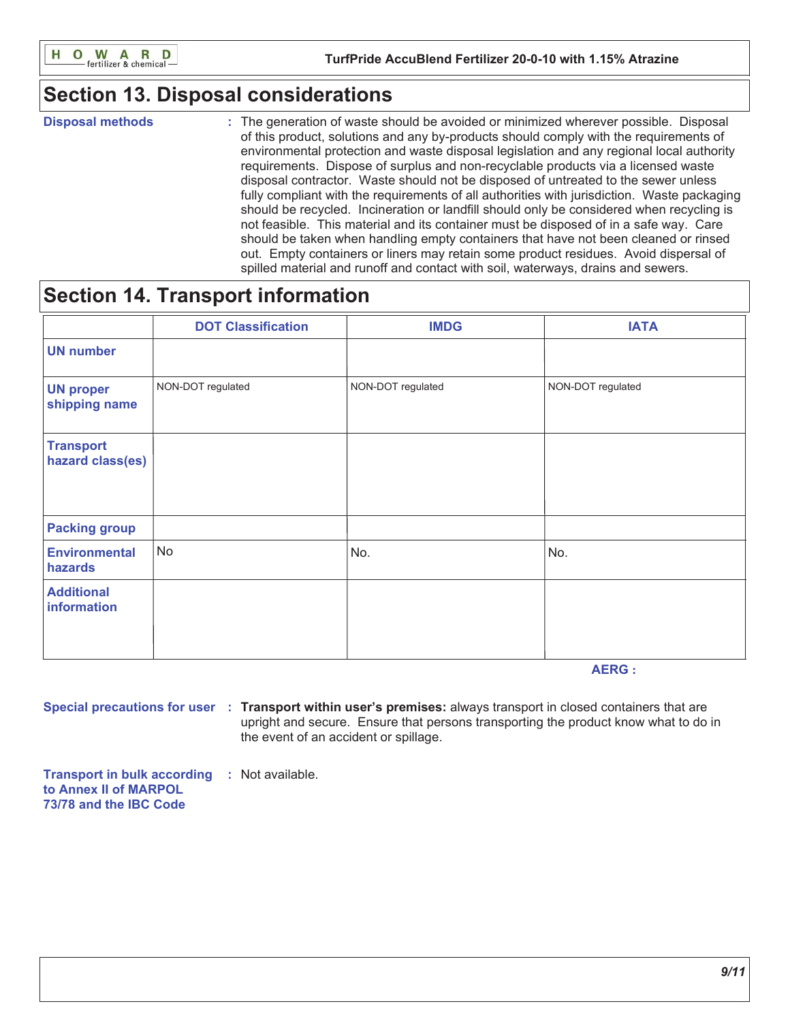

# **Section 13. Disposal considerations**

**Disposal methods** 

: The generation of waste should be avoided or minimized wherever possible. Disposal of this product, solutions and any by-products should comply with the requirements of environmental protection and waste disposal legislation and any regional local authority requirements. Dispose of surplus and non-recyclable products via a licensed waste disposal contractor. Waste should not be disposed of untreated to the sewer unless fully compliant with the requirements of all authorities with jurisdiction. Waste packaging should be recycled. Incineration or landfill should only be considered when recycling is not feasible. This material and its container must be disposed of in a safe way. Care should be taken when handling empty containers that have not been cleaned or rinsed out. Empty containers or liners may retain some product residues. Avoid dispersal of spilled material and runoff and contact with soil, waterways, drains and sewers.

# **Section 14. Transport information**

|                                      | <b>DOT Classification</b> | <b>IMDG</b>       | <b>IATA</b>       |
|--------------------------------------|---------------------------|-------------------|-------------------|
| <b>UN number</b>                     |                           |                   |                   |
| <b>UN proper</b><br>shipping name    | NON-DOT regulated         | NON-DOT regulated | NON-DOT regulated |
| <b>Transport</b><br>hazard class(es) |                           |                   |                   |
| <b>Packing group</b>                 |                           |                   |                   |
| <b>Environmental</b><br>hazards      | <b>No</b>                 | No.               | No.               |
| <b>Additional</b><br>information     |                           |                   |                   |

**AERG:** 

Special precautions for user : Transport within user's premises: always transport in closed containers that are upright and secure. Ensure that persons transporting the product know what to do in the event of an accident or spillage.

**Transport in bulk according : Not available.** to Annex II of MARPOL 73/78 and the IBC Code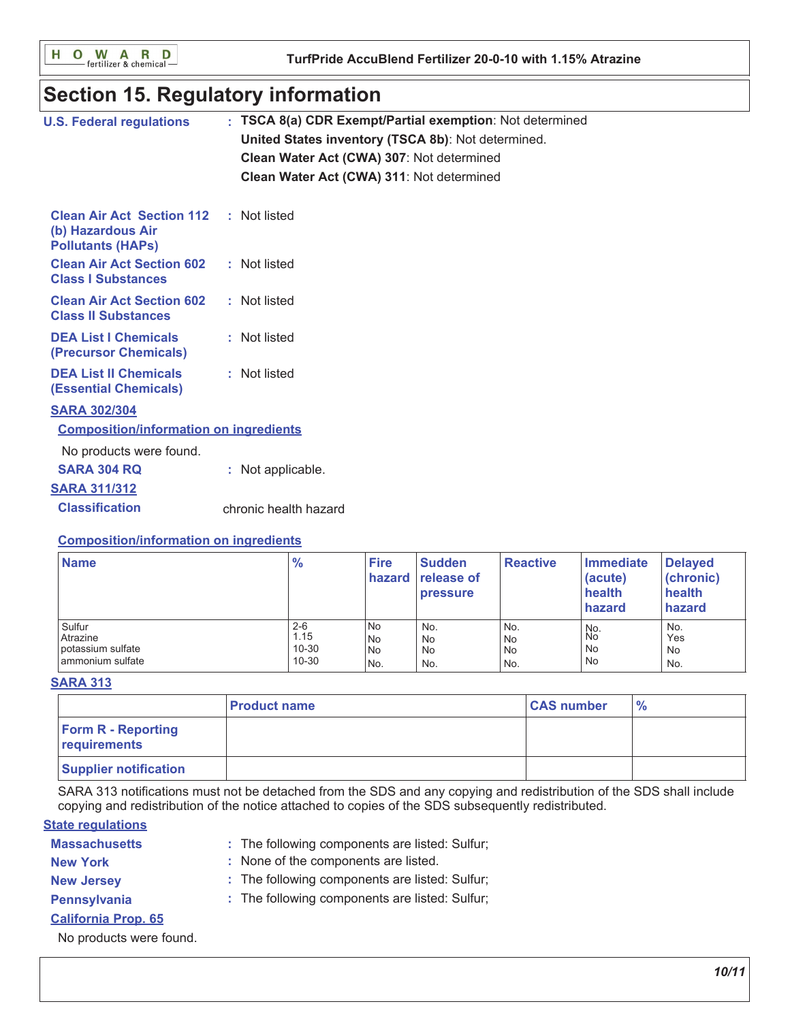O W A R D<br>
Fertilizer & chemical н

# **Section 15. Regulatory information**

| <b>U.S. Federal regulations</b>                                                   | TSCA 8(a) CDR Exempt/Partial exemption: Not determined<br>United States inventory (TSCA 8b): Not determined.<br>Clean Water Act (CWA) 307: Not determined<br>Clean Water Act (CWA) 311: Not determined |
|-----------------------------------------------------------------------------------|--------------------------------------------------------------------------------------------------------------------------------------------------------------------------------------------------------|
| <b>Clean Air Act Section 112</b><br>(b) Hazardous Air<br><b>Pollutants (HAPS)</b> | : Not listed                                                                                                                                                                                           |
| <b>Clean Air Act Section 602</b><br><b>Class I Substances</b>                     | : Not listed                                                                                                                                                                                           |
| <b>Clean Air Act Section 602</b><br><b>Class II Substances</b>                    | : Not listed                                                                                                                                                                                           |
| <b>DEA List I Chemicals</b><br>(Precursor Chemicals)                              | : Not listed                                                                                                                                                                                           |
| <b>DEA List II Chemicals</b><br><b>(Essential Chemicals)</b>                      | : Not listed                                                                                                                                                                                           |
| <b>SARA 302/304</b>                                                               |                                                                                                                                                                                                        |
| <b>Composition/information on ingredients</b>                                     |                                                                                                                                                                                                        |
| No products were found.                                                           |                                                                                                                                                                                                        |
| <b>SARA 304 RQ</b>                                                                | : Not applicable.                                                                                                                                                                                      |
| <b>SARA 311/312</b>                                                               |                                                                                                                                                                                                        |
| <b>Classification</b>                                                             | chronic health hazard                                                                                                                                                                                  |
|                                                                                   |                                                                                                                                                                                                        |

## **Composition/information on ingredients**

| <b>Name</b>                                                 | $\frac{9}{6}$                             | <b>Fire</b>                           | <b>Sudden</b><br><b>hazard</b> release of<br><b>pressure</b> | <b>Reactive</b>                      | Immediate<br>(acute)<br>health<br>hazard | <b>Delayed</b><br>(chronic)<br>health<br>hazard |
|-------------------------------------------------------------|-------------------------------------------|---------------------------------------|--------------------------------------------------------------|--------------------------------------|------------------------------------------|-------------------------------------------------|
| Sulfur<br>Atrazine<br>potassium sulfate<br>ammonium sulfate | $2 - 6$<br>1.15<br>$10 - 30$<br>$10 - 30$ | <b>No</b><br><b>No</b><br>l No<br>No. | No.<br>No<br>No<br>No.                                       | No.<br><b>No</b><br><b>No</b><br>No. | No.<br>No<br>No<br>No                    | No.<br>Yes<br>No<br>No.                         |

## **SARA 313**

|                                           | l Product name | <b>CAS number</b> | $\frac{6}{6}$ |
|-------------------------------------------|----------------|-------------------|---------------|
| <b>Form R - Reporting</b><br>requirements |                |                   |               |
| <b>Supplier notification</b>              |                |                   |               |

SARA 313 notifications must not be detached from the SDS and any copying and redistribution of the SDS shall include copying and redistribution of the notice attached to copies of the SDS subsequently redistributed.

## **State regulations**

| <b>Massachusetts</b> | : The following components are listed: Sulfur |
|----------------------|-----------------------------------------------|
|----------------------|-----------------------------------------------|

- : None of the components are listed. **New York**
- **New Jersey**
- : The following components are listed: Sulfur;
- Pennsylvania
- : The following components are listed: Sulfur;
- **California Prop. 65**

No products were found.